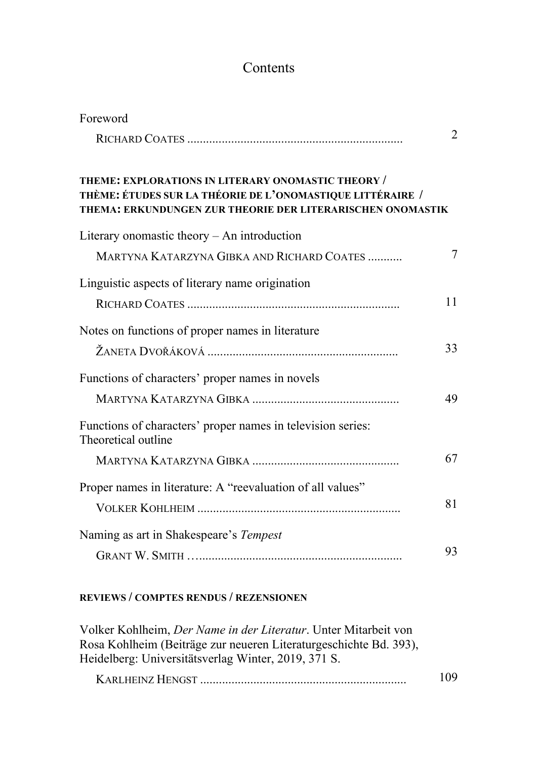## Contents

| Foreword                                                                                                                                                                       |                |
|--------------------------------------------------------------------------------------------------------------------------------------------------------------------------------|----------------|
|                                                                                                                                                                                | $\overline{2}$ |
| THEME: EXPLORATIONS IN LITERARY ONOMASTIC THEORY /<br>THÈME: ÉTUDES SUR LA THÉORIE DE L'ONOMASTIQUE LITTÉRAIRE /<br>THEMA: ERKUNDUNGEN ZUR THEORIE DER LITERARISCHEN ONOMASTIK |                |
| Literary onomastic theory $-$ An introduction                                                                                                                                  |                |
| MARTYNA KATARZYNA GIBKA AND RICHARD COATES                                                                                                                                     | 7              |
| Linguistic aspects of literary name origination                                                                                                                                |                |
|                                                                                                                                                                                | 11             |
| Notes on functions of proper names in literature                                                                                                                               |                |
|                                                                                                                                                                                | 33             |
| Functions of characters' proper names in novels                                                                                                                                |                |
|                                                                                                                                                                                | 49             |
| Functions of characters' proper names in television series:<br>Theoretical outline                                                                                             |                |
|                                                                                                                                                                                | 67             |
| Proper names in literature: A "reevaluation of all values"                                                                                                                     |                |
|                                                                                                                                                                                | 81             |
| Naming as art in Shakespeare's Tempest                                                                                                                                         |                |
|                                                                                                                                                                                | 93             |

## **REVIEWS / COMPTES RENDUS / REZENSIONEN**

Volker Kohlheim, *Der Name in der Literatur*. Unter Mitarbeit von Rosa Kohlheim (Beiträge zur neueren Literaturgeschichte Bd. 393), Heidelberg: Universitätsverlag Winter, 2019, 371 S. KARLHEINZ HENGST .................................................................. 109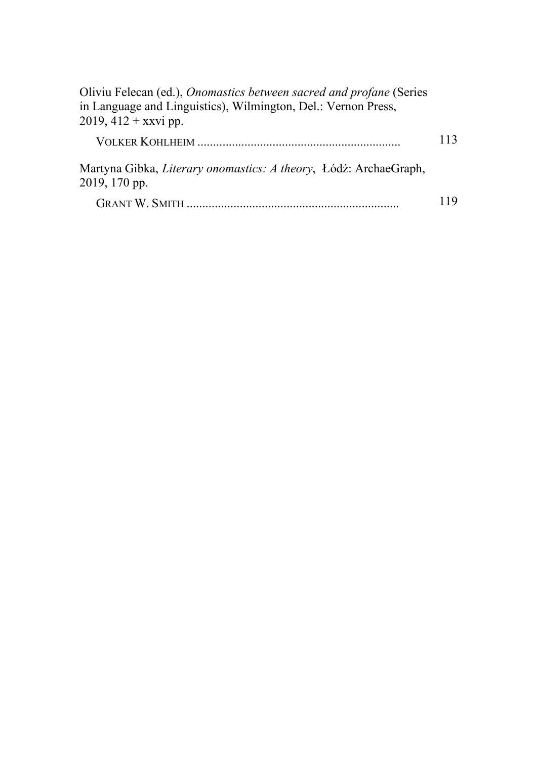| Oliviu Felecan (ed.), Onomastics between sacred and profane (Series<br>in Language and Linguistics), Wilmington, Del.: Vernon Press,<br>$2019, 412 +$ xxvi pp. |     |
|----------------------------------------------------------------------------------------------------------------------------------------------------------------|-----|
|                                                                                                                                                                | 113 |
| Martyna Gibka, Literary onomastics: A theory, Łódź: ArchaeGraph,<br>2019, 170 pp.                                                                              |     |
|                                                                                                                                                                | 119 |